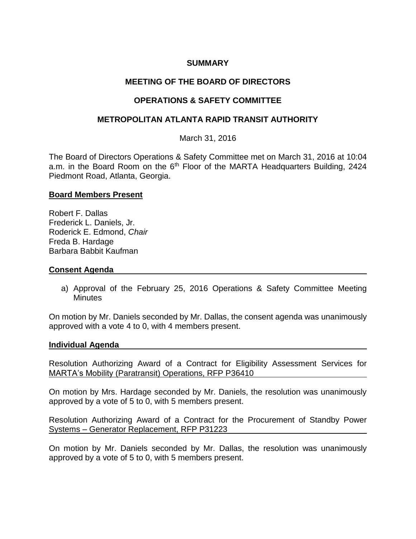## **SUMMARY**

# **MEETING OF THE BOARD OF DIRECTORS**

## **OPERATIONS & SAFETY COMMITTEE**

## **METROPOLITAN ATLANTA RAPID TRANSIT AUTHORITY**

March 31, 2016

The Board of Directors Operations & Safety Committee met on March 31, 2016 at 10:04 a.m. in the Board Room on the 6<sup>th</sup> Floor of the MARTA Headquarters Building, 2424 Piedmont Road, Atlanta, Georgia.

#### **Board Members Present**

Robert F. Dallas Frederick L. Daniels, Jr. Roderick E. Edmond, *Chair* Freda B. Hardage Barbara Babbit Kaufman

#### **Consent Agenda**

a) Approval of the February 25, 2016 Operations & Safety Committee Meeting **Minutes** 

On motion by Mr. Daniels seconded by Mr. Dallas, the consent agenda was unanimously approved with a vote 4 to 0, with 4 members present.

#### **Individual Agenda**

Resolution Authorizing Award of a Contract for Eligibility Assessment Services for MARTA's Mobility (Paratransit) Operations, RFP P36410

On motion by Mrs. Hardage seconded by Mr. Daniels, the resolution was unanimously approved by a vote of 5 to 0, with 5 members present.

Resolution Authorizing Award of a Contract for the Procurement of Standby Power Systems – Generator Replacement, RFP P31223

On motion by Mr. Daniels seconded by Mr. Dallas, the resolution was unanimously approved by a vote of 5 to 0, with 5 members present.